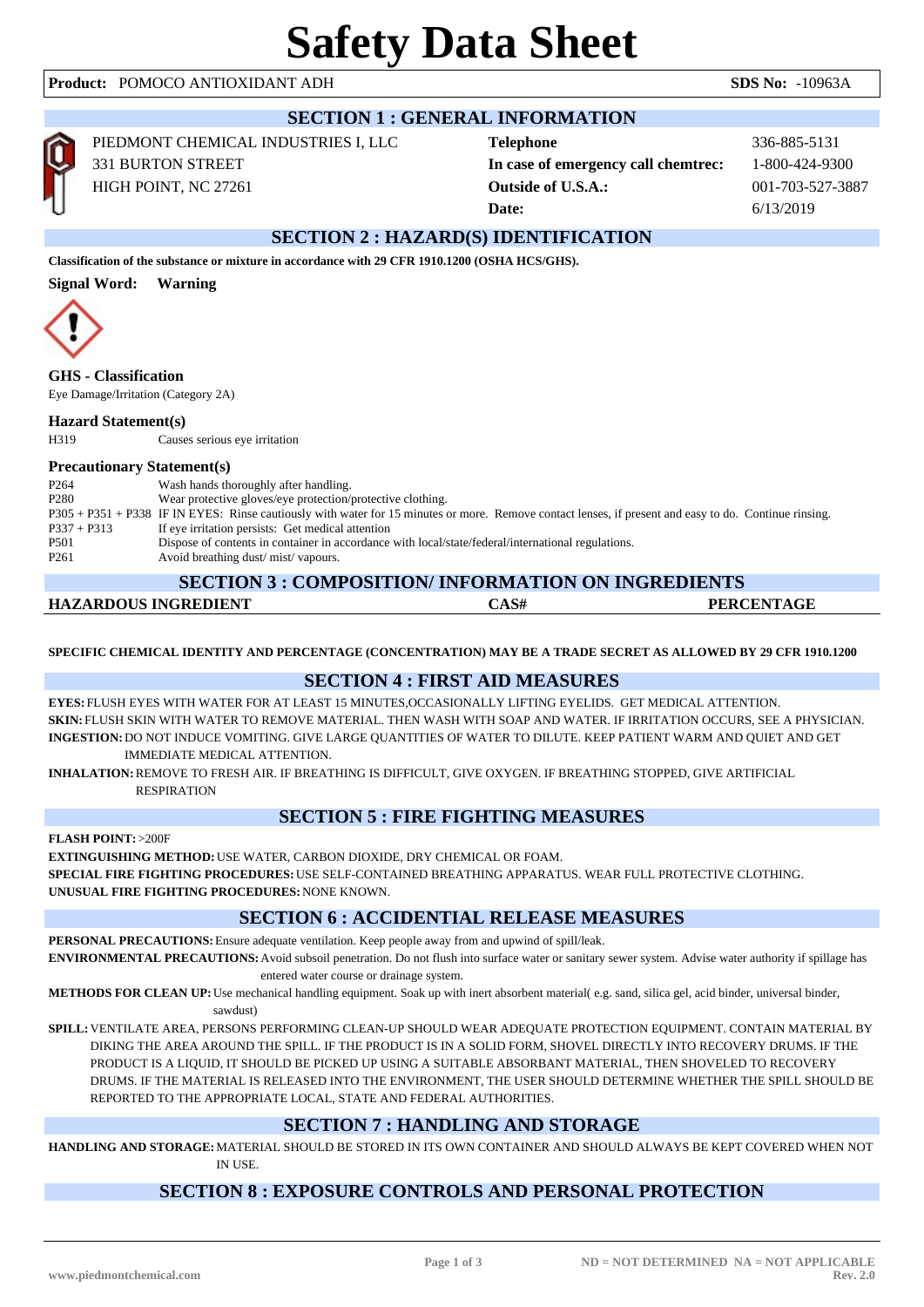# **Safety Data Sheet**

# **Product:** POMOCO ANTIOXIDANT ADH **SDS No:** -10963A

| <b>SECTION 1 : GENERAL INFORMATION</b>                                                         |                                                                                         |                                                                                      |                                                    |  |  |  |  |
|------------------------------------------------------------------------------------------------|-----------------------------------------------------------------------------------------|--------------------------------------------------------------------------------------|----------------------------------------------------|--|--|--|--|
| Ć                                                                                              | PIEDMONT CHEMICAL INDUSTRIES I, LLC<br><b>331 BURTON STREET</b><br>HIGH POINT, NC 27261 | <b>Telephone</b><br>In case of emergency call chemtrec:<br><b>Outside of U.S.A.:</b> | 336-885-5131<br>1-800-424-9300<br>001-703-527-3887 |  |  |  |  |
|                                                                                                |                                                                                         | Date:                                                                                | 6/13/2019                                          |  |  |  |  |
| <b>SECTION 2: HAZARD(S) IDENTIFICATION</b>                                                     |                                                                                         |                                                                                      |                                                    |  |  |  |  |
| Classification of the substance or mixture in accordance with 29 CFR 1910.1200 (OSHA HCS/GHS). |                                                                                         |                                                                                      |                                                    |  |  |  |  |
| <b>Signal Word:</b><br><b>Warning</b>                                                          |                                                                                         |                                                                                      |                                                    |  |  |  |  |
|                                                                                                |                                                                                         |                                                                                      |                                                    |  |  |  |  |
| <b>GHS</b> - Classification<br>Eye Damage/Irritation (Category 2A)                             |                                                                                         |                                                                                      |                                                    |  |  |  |  |
| <b>Hazard Statement(s)</b>                                                                     |                                                                                         |                                                                                      |                                                    |  |  |  |  |

H319 Causes serious eye irritation

# **Precautionary Statement(s)**

| P <sub>264</sub> | Wash hands thoroughly after handling.                                                                                                                  |
|------------------|--------------------------------------------------------------------------------------------------------------------------------------------------------|
| P <sub>280</sub> | Wear protective gloves/eye protection/protective clothing.                                                                                             |
|                  | P305 + P351 + P338 IF IN EYES: Rinse cautiously with water for 15 minutes or more. Remove contact lenses, if present and easy to do. Continue rinsing. |
| $P337 + P313$    | If eye irritation persists: Get medical attention                                                                                                      |
| P <sub>501</sub> | Dispose of contents in container in accordance with local/state/federal/international regulations.                                                     |
| P <sub>261</sub> | Avoid breathing dust/mist/vapours.                                                                                                                     |
|                  |                                                                                                                                                        |

## **SECTION 3 : COMPOSITION/ INFORMATION ON INGREDIENTS**

| <b>HAZARDOUS INGREDIENT</b> | 'AS# | <b>PERCENTAGE</b> |
|-----------------------------|------|-------------------|
|                             |      |                   |

**SPECIFIC CHEMICAL IDENTITY AND PERCENTAGE (CONCENTRATION) MAY BE A TRADE SECRET AS ALLOWED BY 29 CFR 1910.1200**

# **SECTION 4 : FIRST AID MEASURES**

**EYES:** FLUSH EYES WITH WATER FOR AT LEAST 15 MINUTES,OCCASIONALLY LIFTING EYELIDS. GET MEDICAL ATTENTION. **SKIN:** FLUSH SKIN WITH WATER TO REMOVE MATERIAL. THEN WASH WITH SOAP AND WATER. IF IRRITATION OCCURS, SEE A PHYSICIAN. **INGESTION:**DO NOT INDUCE VOMITING. GIVE LARGE QUANTITIES OF WATER TO DILUTE. KEEP PATIENT WARM AND QUIET AND GET IMMEDIATE MEDICAL ATTENTION.

**INHALATION:**REMOVE TO FRESH AIR. IF BREATHING IS DIFFICULT, GIVE OXYGEN. IF BREATHING STOPPED, GIVE ARTIFICIAL RESPIRATION

# **SECTION 5 : FIRE FIGHTING MEASURES**

**FLASH POINT:**>200F

**EXTINGUISHING METHOD:**USE WATER, CARBON DIOXIDE, DRY CHEMICAL OR FOAM. **SPECIAL FIRE FIGHTING PROCEDURES:**USE SELF-CONTAINED BREATHING APPARATUS. WEAR FULL PROTECTIVE CLOTHING. **UNUSUAL FIRE FIGHTING PROCEDURES:**NONE KNOWN.

# **SECTION 6 : ACCIDENTIAL RELEASE MEASURES**

**PERSONAL PRECAUTIONS:**Ensure adequate ventilation. Keep people away from and upwind of spill/leak.

**ENVIRONMENTAL PRECAUTIONS:**Avoid subsoil penetration. Do not flush into surface water or sanitary sewer system. Advise water authority if spillage has entered water course or drainage system.

**METHODS FOR CLEAN UP:**Use mechanical handling equipment. Soak up with inert absorbent material( e.g. sand, silica gel, acid binder, universal binder, sawdust)

**SPILL:**VENTILATE AREA, PERSONS PERFORMING CLEAN-UP SHOULD WEAR ADEQUATE PROTECTION EQUIPMENT. CONTAIN MATERIAL BY DIKING THE AREA AROUND THE SPILL. IF THE PRODUCT IS IN A SOLID FORM, SHOVEL DIRECTLY INTO RECOVERY DRUMS. IF THE PRODUCT IS A LIQUID, IT SHOULD BE PICKED UP USING A SUITABLE ABSORBANT MATERIAL, THEN SHOVELED TO RECOVERY DRUMS. IF THE MATERIAL IS RELEASED INTO THE ENVIRONMENT, THE USER SHOULD DETERMINE WHETHER THE SPILL SHOULD BE REPORTED TO THE APPROPRIATE LOCAL, STATE AND FEDERAL AUTHORITIES.

# **SECTION 7 : HANDLING AND STORAGE**

**HANDLING AND STORAGE:**MATERIAL SHOULD BE STORED IN ITS OWN CONTAINER AND SHOULD ALWAYS BE KEPT COVERED WHEN NOT IN USE.

# **SECTION 8 : EXPOSURE CONTROLS AND PERSONAL PROTECTION**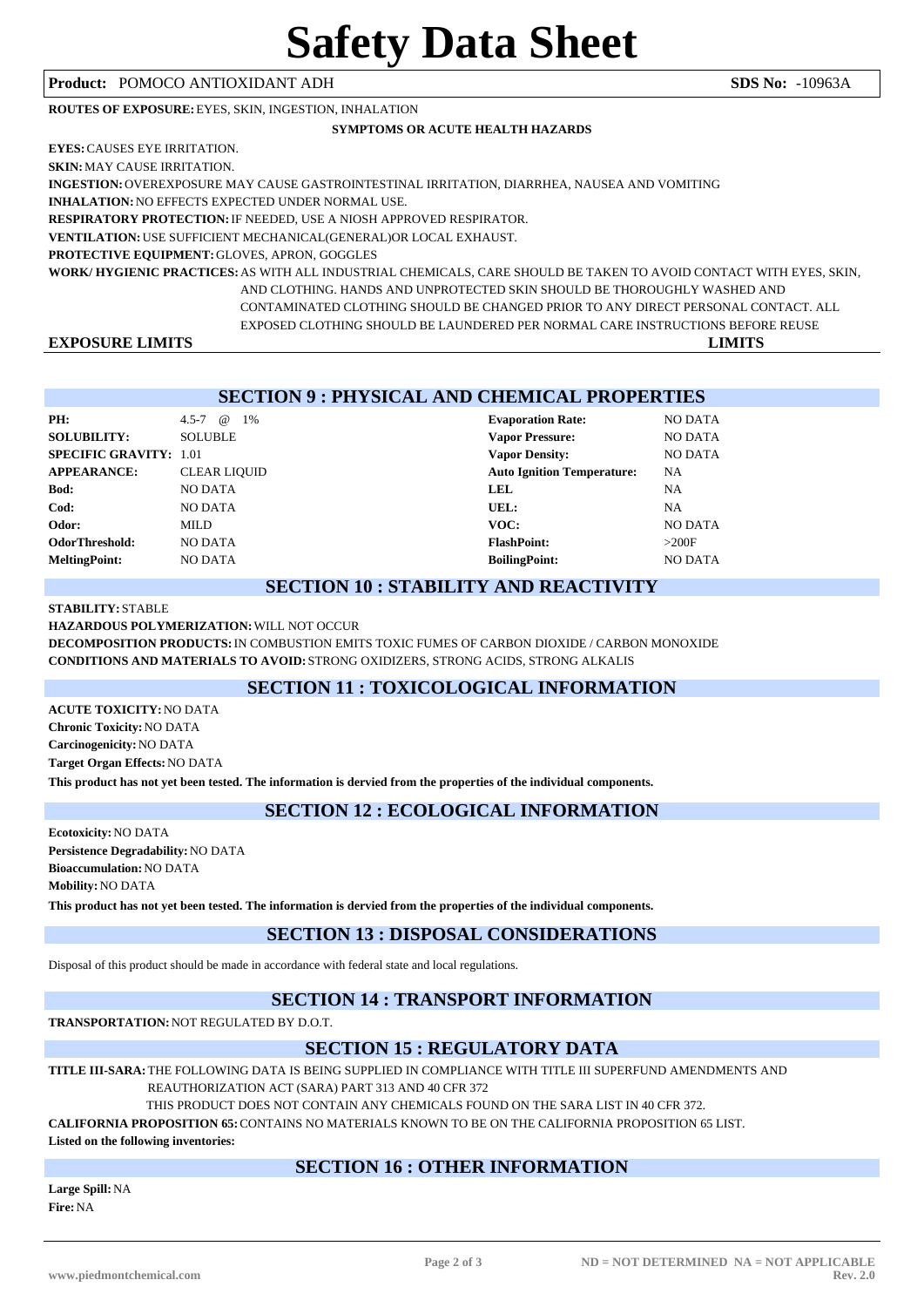# **Product:** POMOCO ANTIOXIDANT ADH **SDS No:** -10963A

**ROUTES OF EXPOSURE:**EYES, SKIN, INGESTION, INHALATION

### **SYMPTOMS OR ACUTE HEALTH HAZARDS**

| <b>EXPOSURE LIMITS</b>                                   | <b>LIMITS</b>                                                                                                     |
|----------------------------------------------------------|-------------------------------------------------------------------------------------------------------------------|
|                                                          | EXPOSED CLOTHING SHOULD BE LAUNDERED PER NORMAL CARE INSTRUCTIONS BEFORE REUSE                                    |
|                                                          | CONTAMINATED CLOTHING SHOULD BE CHANGED PRIOR TO ANY DIRECT PERSONAL CONTACT. ALL                                 |
|                                                          | AND CLOTHING. HANDS AND UNPROTECTED SKIN SHOULD BE THOROUGHLY WASHED AND                                          |
|                                                          | WORK/HYGIENIC PRACTICES: AS WITH ALL INDUSTRIAL CHEMICALS. CARE SHOULD BE TAKEN TO AVOID CONTACT WITH EYES, SKIN, |
| <b>PROTECTIVE EQUIPMENT: GLOVES, APRON, GOGGLES</b>      |                                                                                                                   |
|                                                          | <b>VENTILATION: USE SUFFICIENT MECHANICAL (GENERAL) OR LOCAL EXHAUST.</b>                                         |
|                                                          | <b>RESPIRATORY PROTECTION: IF NEEDED, USE A NIOSH APPROVED RESPIRATOR.</b>                                        |
| <b>INHALATION: NO EFFECTS EXPECTED UNDER NORMAL USE.</b> |                                                                                                                   |
|                                                          | INGESTION: OVEREXPOSURE MAY CAUSE GASTROINTESTINAL IRRITATION. DIARRHEA, NAUSEA AND VOMITING                      |
| <b>SKIN: MAY CAUSE IRRITATION.</b>                       |                                                                                                                   |
| <b>EYES: CAUSES EYE IRRITATION.</b>                      |                                                                                                                   |

|                               | <b>SECTION 9: PHYSICAL AND CHEMICAL PROPERTIES</b> |                                   |                |  |  |
|-------------------------------|----------------------------------------------------|-----------------------------------|----------------|--|--|
| PH:                           | $\omega$<br>$4.5 - 7$<br>1%                        | <b>Evaporation Rate:</b>          | <b>NO DATA</b> |  |  |
| <b>SOLUBILITY:</b>            | <b>SOLUBLE</b>                                     | <b>Vapor Pressure:</b>            | NO DATA        |  |  |
| <b>SPECIFIC GRAVITY: 1.01</b> |                                                    | <b>Vapor Density:</b>             | NO DATA        |  |  |
| <b>APPEARANCE:</b>            | <b>CLEAR LIQUID</b>                                | <b>Auto Ignition Temperature:</b> | NA             |  |  |
| Bod:                          | <b>NO DATA</b>                                     | <b>LEL</b>                        | NA             |  |  |
| Cod:                          | <b>NO DATA</b>                                     | UEL:                              | NA             |  |  |
| Odor:                         | MILD.                                              | VOC:                              | <b>NO DATA</b> |  |  |
| OdorThreshold:                | <b>NO DATA</b>                                     | <b>FlashPoint:</b>                | >200F          |  |  |
| <b>MeltingPoint:</b>          | <b>NO DATA</b>                                     | <b>BoilingPoint:</b>              | <b>NO DATA</b> |  |  |

### **SECTION 10 : STABILITY AND REACTIVITY**

### **STABILITY:** STABLE

**HAZARDOUS POLYMERIZATION:**WILL NOT OCCUR

**DECOMPOSITION PRODUCTS:**IN COMBUSTION EMITS TOXIC FUMES OF CARBON DIOXIDE / CARBON MONOXIDE **CONDITIONS AND MATERIALS TO AVOID:** STRONG OXIDIZERS, STRONG ACIDS, STRONG ALKALIS

# **SECTION 11 : TOXICOLOGICAL INFORMATION**

**ACUTE TOXICITY:**NO DATA **Chronic Toxicity:**NO DATA **Carcinogenicity:**NO DATA **Target Organ Effects:**NO DATA

**This product has not yet been tested. The information is dervied from the properties of the individual components.**

# **SECTION 12 : ECOLOGICAL INFORMATION**

**Ecotoxicity:**NO DATA **Persistence Degradability:**NO DATA **Bioaccumulation:**NO DATA **Mobility:**NO DATA

**This product has not yet been tested. The information is dervied from the properties of the individual components.**

# **SECTION 13 : DISPOSAL CONSIDERATIONS**

Disposal of this product should be made in accordance with federal state and local regulations.

# **SECTION 14 : TRANSPORT INFORMATION**

**TRANSPORTATION:**NOT REGULATED BY D.O.T.

# **SECTION 15 : REGULATORY DATA**

**TITLE III-SARA:**THE FOLLOWING DATA IS BEING SUPPLIED IN COMPLIANCE WITH TITLE III SUPERFUND AMENDMENTS AND

REAUTHORIZATION ACT (SARA) PART 313 AND 40 CFR 372

THIS PRODUCT DOES NOT CONTAIN ANY CHEMICALS FOUND ON THE SARA LIST IN 40 CFR 372.

**CALIFORNIA PROPOSITION 65:**CONTAINS NO MATERIALS KNOWN TO BE ON THE CALIFORNIA PROPOSITION 65 LIST.

**Listed on the following inventories:**

# **SECTION 16 : OTHER INFORMATION**

**Large Spill:**NA **Fire:**NA